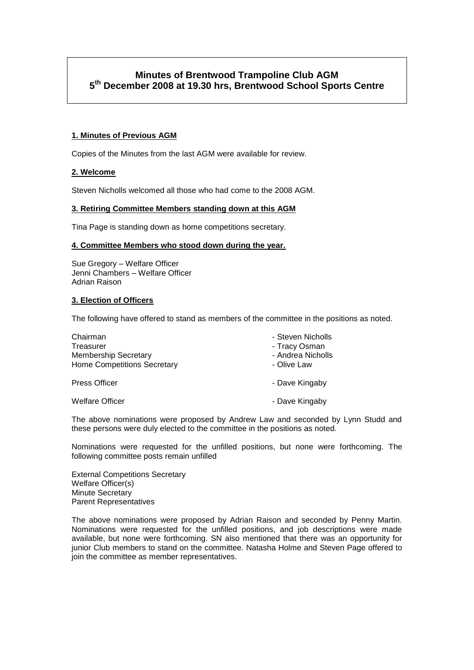# **Minutes of Brentwood Trampoline Club AGM 5 th December 2008 at 19.30 hrs, Brentwood School Sports Centre**

# **1. Minutes of Previous AGM**

Copies of the Minutes from the last AGM were available for review.

## **2. Welcome**

Steven Nicholls welcomed all those who had come to the 2008 AGM.

## **3. Retiring Committee Members standing down at this AGM**

Tina Page is standing down as home competitions secretary.

## **4. Committee Members who stood down during the year.**

Sue Gregory – Welfare Officer Jenni Chambers – Welfare Officer Adrian Raison

## **3. Election of Officers**

The following have offered to stand as members of the committee in the positions as noted.

| Chairman<br>Treasurer<br><b>Membership Secretary</b><br><b>Home Competitions Secretary</b> | - Steven Nicholls<br>- Tracy Osman<br>- Andrea Nicholls<br>- Olive Law |
|--------------------------------------------------------------------------------------------|------------------------------------------------------------------------|
| <b>Press Officer</b>                                                                       | - Dave Kingaby                                                         |
| <b>Welfare Officer</b>                                                                     | - Dave Kingaby                                                         |

The above nominations were proposed by Andrew Law and seconded by Lynn Studd and these persons were duly elected to the committee in the positions as noted.

Nominations were requested for the unfilled positions, but none were forthcoming. The following committee posts remain unfilled

External Competitions Secretary Welfare Officer(s) Minute Secretary Parent Representatives

The above nominations were proposed by Adrian Raison and seconded by Penny Martin. Nominations were requested for the unfilled positions, and job descriptions were made available, but none were forthcoming. SN also mentioned that there was an opportunity for junior Club members to stand on the committee. Natasha Holme and Steven Page offered to join the committee as member representatives.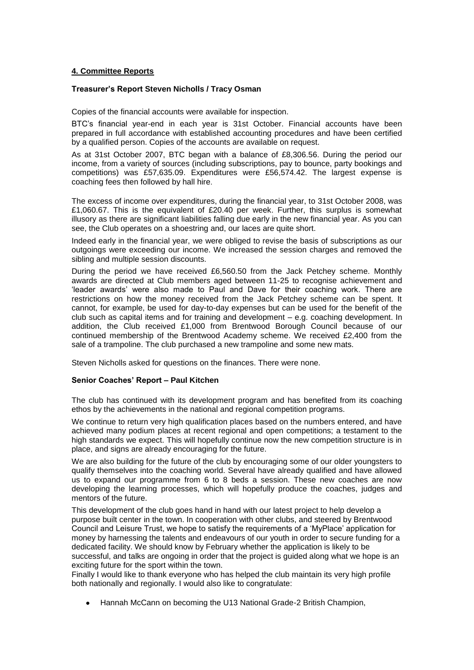## **4. Committee Reports**

## **Treasurer's Report Steven Nicholls / Tracy Osman**

Copies of the financial accounts were available for inspection.

BTC"s financial year-end in each year is 31st October. Financial accounts have been prepared in full accordance with established accounting procedures and have been certified by a qualified person. Copies of the accounts are available on request.

As at 31st October 2007, BTC began with a balance of £8,306.56. During the period our income, from a variety of sources (including subscriptions, pay to bounce, party bookings and competitions) was £57,635.09. Expenditures were £56,574.42. The largest expense is coaching fees then followed by hall hire.

The excess of income over expenditures, during the financial year, to 31st October 2008, was £1,060.67. This is the equivalent of £20.40 per week. Further, this surplus is somewhat illusory as there are significant liabilities falling due early in the new financial year. As you can see, the Club operates on a shoestring and, our laces are quite short.

Indeed early in the financial year, we were obliged to revise the basis of subscriptions as our outgoings were exceeding our income. We increased the session charges and removed the sibling and multiple session discounts.

During the period we have received £6,560.50 from the Jack Petchey scheme. Monthly awards are directed at Club members aged between 11-25 to recognise achievement and "leader awards" were also made to Paul and Dave for their coaching work. There are restrictions on how the money received from the Jack Petchey scheme can be spent. It cannot, for example, be used for day-to-day expenses but can be used for the benefit of the club such as capital items and for training and development – e.g. coaching development. In addition, the Club received £1,000 from Brentwood Borough Council because of our continued membership of the Brentwood Academy scheme. We received £2,400 from the sale of a trampoline. The club purchased a new trampoline and some new mats.

Steven Nicholls asked for questions on the finances. There were none.

## **Senior Coaches' Report – Paul Kitchen**

The club has continued with its development program and has benefited from its coaching ethos by the achievements in the national and regional competition programs.

We continue to return very high qualification places based on the numbers entered, and have achieved many podium places at recent regional and open competitions; a testament to the high standards we expect. This will hopefully continue now the new competition structure is in place, and signs are already encouraging for the future.

We are also building for the future of the club by encouraging some of our older youngsters to qualify themselves into the coaching world. Several have already qualified and have allowed us to expand our programme from 6 to 8 beds a session. These new coaches are now developing the learning processes, which will hopefully produce the coaches, judges and mentors of the future.

This development of the club goes hand in hand with our latest project to help develop a purpose built center in the town. In cooperation with other clubs, and steered by Brentwood Council and Leisure Trust, we hope to satisfy the requirements of a "MyPlace" application for money by harnessing the talents and endeavours of our youth in order to secure funding for a dedicated facility. We should know by February whether the application is likely to be successful, and talks are ongoing in order that the project is guided along what we hope is an exciting future for the sport within the town.

Finally I would like to thank everyone who has helped the club maintain its very high profile both nationally and regionally. I would also like to congratulate:

Hannah McCann on becoming the U13 National Grade-2 British Champion,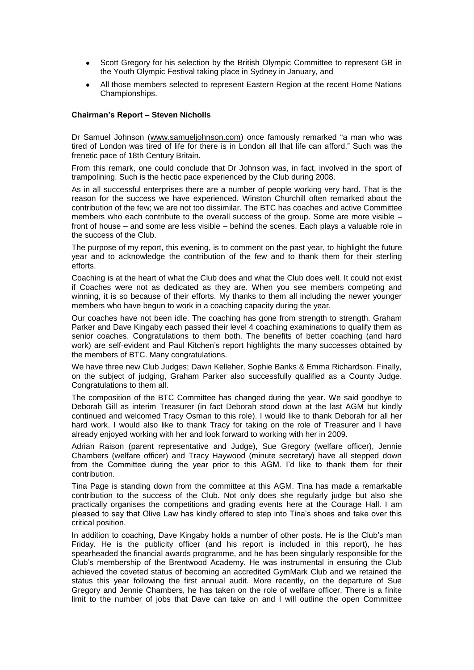- Scott Gregory for his selection by the British Olympic Committee to represent GB in the Youth Olympic Festival taking place in Sydney in January, and
- All those members selected to represent Eastern Region at the recent Home Nations Championships.

#### **Chairman's Report – Steven Nicholls**

Dr Samuel Johnson (www.samueljohnson.com) once famously remarked "a man who was tired of London was tired of life for there is in London all that life can afford." Such was the frenetic pace of 18th Century Britain.

From this remark, one could conclude that Dr Johnson was, in fact, involved in the sport of trampolining. Such is the hectic pace experienced by the Club during 2008.

As in all successful enterprises there are a number of people working very hard. That is the reason for the success we have experienced. Winston Churchill often remarked about the contribution of the few; we are not too dissimilar. The BTC has coaches and active Committee members who each contribute to the overall success of the group. Some are more visible – front of house – and some are less visible – behind the scenes. Each plays a valuable role in the success of the Club.

The purpose of my report, this evening, is to comment on the past year, to highlight the future year and to acknowledge the contribution of the few and to thank them for their sterling efforts.

Coaching is at the heart of what the Club does and what the Club does well. It could not exist if Coaches were not as dedicated as they are. When you see members competing and winning, it is so because of their efforts. My thanks to them all including the newer younger members who have begun to work in a coaching capacity during the year.

Our coaches have not been idle. The coaching has gone from strength to strength. Graham Parker and Dave Kingaby each passed their level 4 coaching examinations to qualify them as senior coaches. Congratulations to them both. The benefits of better coaching (and hard work) are self-evident and Paul Kitchen's report highlights the many successes obtained by the members of BTC. Many congratulations.

We have three new Club Judges; Dawn Kelleher, Sophie Banks & Emma Richardson. Finally, on the subject of judging, Graham Parker also successfully qualified as a County Judge. Congratulations to them all.

The composition of the BTC Committee has changed during the year. We said goodbye to Deborah Gill as interim Treasurer (in fact Deborah stood down at the last AGM but kindly continued and welcomed Tracy Osman to this role). I would like to thank Deborah for all her hard work. I would also like to thank Tracy for taking on the role of Treasurer and I have already enjoyed working with her and look forward to working with her in 2009.

Adrian Raison (parent representative and Judge), Sue Gregory (welfare officer), Jennie Chambers (welfare officer) and Tracy Haywood (minute secretary) have all stepped down from the Committee during the year prior to this AGM. I"d like to thank them for their contribution.

Tina Page is standing down from the committee at this AGM. Tina has made a remarkable contribution to the success of the Club. Not only does she regularly judge but also she practically organises the competitions and grading events here at the Courage Hall. I am pleased to say that Olive Law has kindly offered to step into Tina"s shoes and take over this critical position.

In addition to coaching, Dave Kingaby holds a number of other posts. He is the Club's man Friday. He is the publicity officer (and his report is included in this report), he has spearheaded the financial awards programme, and he has been singularly responsible for the Club"s membership of the Brentwood Academy. He was instrumental in ensuring the Club achieved the coveted status of becoming an accredited GymMark Club and we retained the status this year following the first annual audit. More recently, on the departure of Sue Gregory and Jennie Chambers, he has taken on the role of welfare officer. There is a finite limit to the number of jobs that Dave can take on and I will outline the open Committee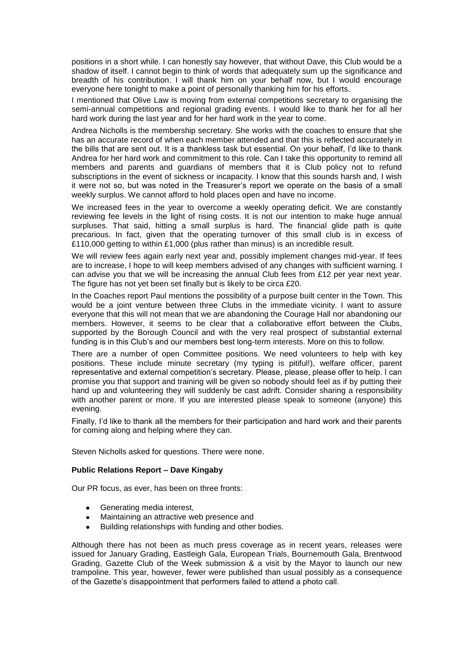positions in a short while. I can honestly say however, that without Dave, this Club would be a shadow of itself. I cannot begin to think of words that adequately sum up the significance and breadth of his contribution. I will thank him on your behalf now, but I would encourage everyone here tonight to make a point of personally thanking him for his efforts.

I mentioned that Olive Law is moving from external competitions secretary to organising the semi-annual competitions and regional grading events. I would like to thank her for all her hard work during the last year and for her hard work in the year to come.

Andrea Nicholls is the membership secretary. She works with the coaches to ensure that she has an accurate record of when each member attended and that this is reflected accurately in the bills that are sent out. It is a thankless task but essential. On your behalf, I"d like to thank Andrea for her hard work and commitment to this role. Can I take this opportunity to remind all members and parents and guardians of members that it is Club policy not to refund subscriptions in the event of sickness or incapacity. I know that this sounds harsh and, I wish it were not so, but was noted in the Treasurer"s report we operate on the basis of a small weekly surplus. We cannot afford to hold places open and have no income.

We increased fees in the year to overcome a weekly operating deficit. We are constantly reviewing fee levels in the light of rising costs. It is not our intention to make huge annual surpluses. That said, hitting a small surplus is hard. The financial glide path is quite precarious. In fact, given that the operating turnover of this small club is in excess of £110,000 getting to within £1,000 (plus rather than minus) is an incredible result.

We will review fees again early next year and, possibly implement changes mid-year. If fees are to increase, I hope to will keep members advised of any changes with sufficient warning. I can advise you that we will be increasing the annual Club fees from £12 per year next year. The figure has not yet been set finally but is likely to be circa £20.

In the Coaches report Paul mentions the possibility of a purpose built center in the Town. This would be a joint venture between three Clubs in the immediate vicinity. I want to assure everyone that this will not mean that we are abandoning the Courage Hall nor abandoning our members. However, it seems to be clear that a collaborative effort between the Clubs, supported by the Borough Council and with the very real prospect of substantial external funding is in this Club's and our members best long-term interests. More on this to follow.

There are a number of open Committee positions. We need volunteers to help with key positions. These include minute secretary (my typing is pitiful!), welfare officer, parent representative and external competition"s secretary. Please, please, please offer to help. I can promise you that support and training will be given so nobody should feel as if by putting their hand up and volunteering they will suddenly be cast adrift. Consider sharing a responsibility with another parent or more. If you are interested please speak to someone (anyone) this evening.

Finally, I'd like to thank all the members for their participation and hard work and their parents for coming along and helping where they can.

Steven Nicholls asked for questions. There were none.

## **Public Relations Report – Dave Kingaby**

Our PR focus, as ever, has been on three fronts:

- Generating media interest,  $\bullet$
- Maintaining an attractive web presence and
- Building relationships with funding and other bodies.

Although there has not been as much press coverage as in recent years, releases were issued for January Grading, Eastleigh Gala, European Trials, Bournemouth Gala, Brentwood Grading, Gazette Club of the Week submission & a visit by the Mayor to launch our new trampoline. This year, however, fewer were published than usual possibly as a consequence of the Gazette"s disappointment that performers failed to attend a photo call.